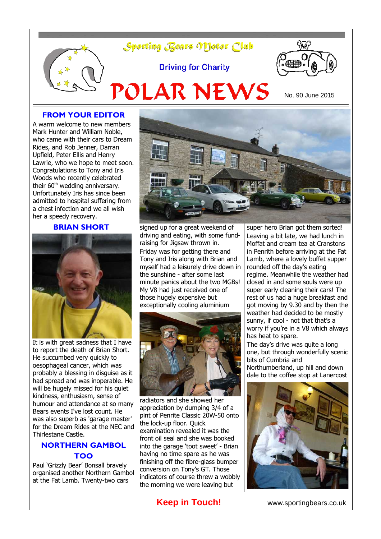

#### **FROM YOUR EDITOR**

A warm welcome to new members Mark Hunter and William Noble, who came with their cars to Dream Rides, and Rob Jenner, Darran Upfield, Peter Ellis and Henry Lawrie, who we hope to meet soon. Congratulations to Tony and Iris Woods who recently celebrated their 60<sup>th</sup> wedding anniversary. Unfortunately Iris has since been admitted to hospital suffering from a chest infection and we all wish her a speedy recovery.

## **BRIAN SHORT**



It is with great sadness that I have to report the death of Brian Short. He succumbed very quickly to oesophageal cancer, which was probably a blessing in disguise as it had spread and was inoperable. He will be hugely missed for his quiet kindness, enthusiasm, sense of humour and attendance at so many Bears events I've lost count. He was also superb as 'garage master' for the Dream Rides at the NEC and Thirlestane Castle.

### **NORTHERN GAMBOL TOO**

Paul 'Grizzly Bear' Bonsall bravely organised another Northern Gambol at the Fat Lamb. Twenty-two cars



signed up for a great weekend of driving and eating, with some fundraising for Jigsaw thrown in. Friday was for getting there and Tony and Iris along with Brian and myself had a leisurely drive down in the sunshine - after some last minute panics about the two MGBs! My V8 had just received one of those hugely expensive but exceptionally cooling aluminium



radiators and she showed her appreciation by dumping 3/4 of a pint of Penrite Classic 20W-50 onto the lock-up floor. Quick examination revealed it was the front oil seal and she was booked into the garage 'toot sweet' - Brian having no time spare as he was finishing off the fibre-glass bumper conversion on Tony's GT. Those indicators of course threw a wobbly the morning we were leaving but

super hero Brian got them sorted! Leaving a bit late, we had lunch in Moffat and cream tea at Cranstons in Penrith before arriving at the Fat Lamb, where a lovely buffet supper rounded off the day's eating regime. Meanwhile the weather had closed in and some souls were up super early cleaning their cars! The rest of us had a huge breakfast and got moving by 9.30 and by then the weather had decided to be mostly sunny, if cool - not that that's a worry if you're in a V8 which always has heat to spare.

The day's drive was quite a long one, but through wonderfully scenic bits of Cumbria and Northumberland, up hill and down dale to the coffee stop at Lanercost



**Keep in Touch!** www.sportingbears.co.uk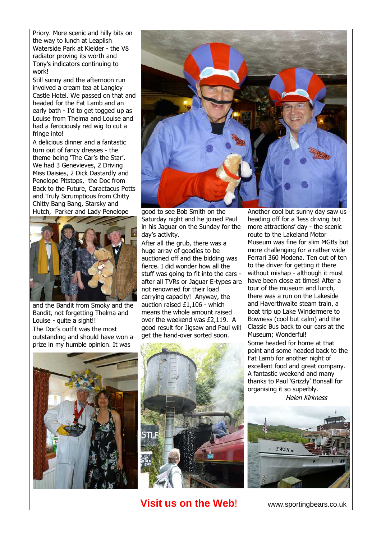Priory. More scenic and hilly bits on the way to lunch at Leaplish Waterside Park at Kielder - the V8 radiator proving its worth and Tony's indicators continuing to work!

Still sunny and the afternoon run involved a cream tea at Langley Castle Hotel. We passed on that and headed for the Fat Lamb and an early bath - I'd to get togged up as Louise from Thelma and Louise and had a ferociously red wig to cut a fringe into!

A delicious dinner and a fantastic turn out of fancy dresses - the theme being 'The Car's the Star'. We had 3 Genevieves, 2 Driving Miss Daisies, 2 Dick Dastardly and Penelope Pitstops, the Doc from Back to the Future, Caractacus Potts and Truly Scrumptious from Chitty Chitty Bang Bang, Starsky and Hutch, Parker and Lady Penelope



and the Bandit from Smoky and the Bandit, not forgetting Thelma and Louise - quite a sight!! The Doc's outfit was the most outstanding and should have won a prize in my humble opinion. It was





good to see Bob Smith on the Saturday night and he joined Paul in his Jaguar on the Sunday for the day's activity.

After all the grub, there was a huge array of goodies to be auctioned off and the bidding was fierce. I did wonder how all the stuff was going to fit into the cars after all TVRs or Jaguar E-types are not renowned for their load carrying capacity! Anyway, the auction raised £1,106 - which means the whole amount raised over the weekend was £2,119. A good result for Jigsaw and Paul will get the hand-over sorted soon.



**Visit us on the Web!** www.sportingbears.co.uk

Another cool but sunny day saw us heading off for a 'less driving but more attractions' day - the scenic route to the Lakeland Motor Museum was fine for slim MGBs but more challenging for a rather wide Ferrari 360 Modena. Ten out of ten to the driver for getting it there without mishap - although it must have been close at times! After a tour of the museum and lunch, there was a run on the Lakeside and Haverthwaite steam train, a boat trip up Lake Windermere to Bowness (cool but calm) and the Classic Bus back to our cars at the Museum; Wonderful! Some headed for home at that point and some headed back to the

Fat Lamb for another night of excellent food and great company. A fantastic weekend and many thanks to Paul 'Grizzly' Bonsall for organising it so superbly. Helen Kirkness

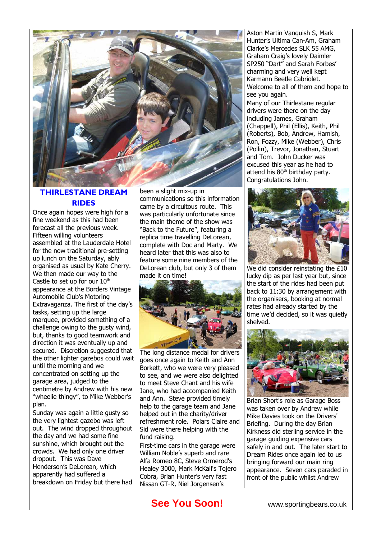

# **THIRLESTANE DREAM RIDES**

Once again hopes were high for a fine weekend as this had been forecast all the previous week. Fifteen willing volunteers assembled at the Lauderdale Hotel for the now traditional pre-setting up lunch on the Saturday, ably organised as usual by Kate Cherry. We then made our way to the Castle to set up for our  $10<sup>th</sup>$ appearance at the Borders Vintage Automobile Club's Motoring Extravaganza. The first of the day's tasks, setting up the large marquee, provided something of a challenge owing to the gusty wind, but, thanks to good teamwork and direction it was eventually up and secured. Discretion suggested that the other lighter gazebos could wait until the morning and we concentrated on setting up the garage area, judged to the centimetre by Andrew with his new "wheelie thingy", to Mike Webber's plan.

Sunday was again a little gusty so the very lightest gazebo was left out. The wind dropped throughout the day and we had some fine sunshine, which brought out the crowds. We had only one driver dropout. This was Dave Henderson's DeLorean, which apparently had suffered a breakdown on Friday but there had been a slight mix-up in communications so this information came by a circuitous route. This was particularly unfortunate since the main theme of the show was "Back to the Future", featuring a replica time travelling DeLorean, complete with Doc and Marty. We heard later that this was also to feature some nine members of the DeLorean club, but only 3 of them made it on time!



The long distance medal for drivers goes once again to Keith and Ann Borkett, who we were very pleased to see, and we were also delighted to meet Steve Chant and his wife Jane, who had accompanied Keith and Ann. Steve provided timely help to the garage team and Jane helped out in the charity/driver refreshment role. Polars Claire and Sid were there helping with the fund raising.

First-time cars in the garage were William Noble's superb and rare Alfa Romeo 8C, Steve Ormerod's Healey 3000, Mark McKail's Tojero Cobra, Brian Hunter's very fast Nissan GT-R, Niel Jorgensen's

Aston Martin Vanquish S, Mark Hunter's Ultima Can-Am, Graham Clarke's Mercedes SLK 55 AMG, Graham Craig's lovely Daimler SP250 "Dart" and Sarah Forbes' charming and very well kept Karmann Beetle Cabriolet. Welcome to all of them and hope to see you again.

Many of our Thirlestane regular drivers were there on the day including James, Graham (Chappell), Phil (Ellis), Keith, Phil (Roberts), Bob, Andrew, Hamish, Ron, Fozzy, Mike (Webber), Chris (Pollin), Trevor, Jonathan, Stuart and Tom. John Ducker was excused this year as he had to attend his  $80<sup>th</sup>$  birthday party. Congratulations John.



We did consider reinstating the £10 lucky dip as per last year but, since the start of the rides had been put back to 11:30 by arrangement with the organisers, booking at normal rates had already started by the time we'd decided, so it was quietly shelved.



Brian Short's role as Garage Boss was taken over by Andrew while Mike Davies took on the Drivers' Briefing. During the day Brian Kirkness did sterling service in the garage guiding expensive cars safely in and out. The later start to Dream Rides once again led to us bringing forward our main ring appearance. Seven cars paraded in front of the public whilst Andrew